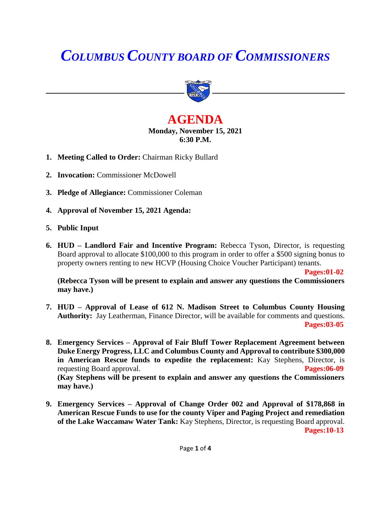# *COLUMBUS COUNTY BOARD OF COMMISSIONERS*



# **AGENDA Monday, November 15, 2021 6:30 P.M.**

- **1. Meeting Called to Order:** Chairman Ricky Bullard
- **2. Invocation:** Commissioner McDowell
- **3. Pledge of Allegiance:** Commissioner Coleman
- **4. Approval of November 15, 2021 Agenda:**
- **5. Public Input**
- **6. HUD – Landlord Fair and Incentive Program:** Rebecca Tyson, Director, is requesting Board approval to allocate \$100,000 to this program in order to offer a \$500 signing bonus to property owners renting to new HCVP (Housing Choice Voucher Participant) tenants.

**Pages:01-02**

**(Rebecca Tyson will be present to explain and answer any questions the Commissioners may have.)**

- **7. HUD – Approval of Lease of 612 N. Madison Street to Columbus County Housing Authority:** Jay Leatherman, Finance Director, will be available for comments and questions.  **Pages:03-05**
- **8. Emergency Services – Approval of Fair Bluff Tower Replacement Agreement between Duke Energy Progress, LLC and Columbus County and Approval to contribute \$300,000 in American Rescue funds to expedite the replacement:** Kay Stephens, Director, is requesting Board approval. **Pages:06-09 (Kay Stephens will be present to explain and answer any questions the Commissioners may have.)**
- **9. Emergency Services – Approval of Change Order 002 and Approval of \$178,868 in American Rescue Funds to use for the county Viper and Paging Project and remediation of the Lake Waccamaw Water Tank:** Kay Stephens, Director, is requesting Board approval. **Pages:10-13**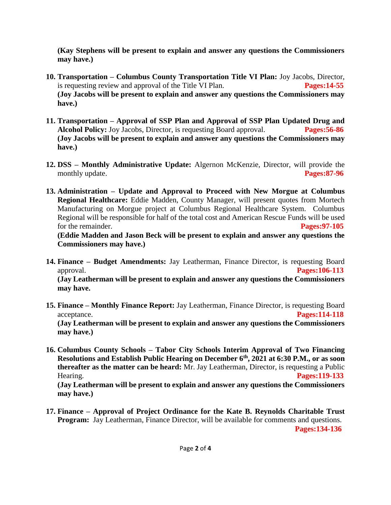**(Kay Stephens will be present to explain and answer any questions the Commissioners may have.)**

- **10. Transportation – Columbus County Transportation Title VI Plan:** Joy Jacobs, Director, is requesting review and approval of the Title VI Plan. **Pages:14-55 (Joy Jacobs will be present to explain and answer any questions the Commissioners may have.)**
- **11. Transportation – Approval of SSP Plan and Approval of SSP Plan Updated Drug and Alcohol Policy:** Joy Jacobs, Director, is requesting Board approval. **Pages:56-86 (Joy Jacobs will be present to explain and answer any questions the Commissioners may have.)**
- **12. DSS – Monthly Administrative Update:** Algernon McKenzie, Director, will provide the monthly update. **Pages:87-96**
- **13. Administration – Update and Approval to Proceed with New Morgue at Columbus Regional Healthcare:** Eddie Madden, County Manager, will present quotes from Mortech Manufacturing on Morgue project at Columbus Regional Healthcare System. Columbus Regional will be responsible for half of the total cost and American Rescue Funds will be used for the remainder. **Pages:97-105**

**(Eddie Madden and Jason Beck will be present to explain and answer any questions the Commissioners may have.)**

**14. Finance – Budget Amendments:** Jay Leatherman, Finance Director, is requesting Board approval. **Pages:106-113 (Jay Leatherman will be present to explain and answer any questions the Commissioners** 

**may have.**

**15. Finance – Monthly Finance Report:** Jay Leatherman, Finance Director, is requesting Board acceptance. **Pages:114-118**

**(Jay Leatherman will be present to explain and answer any questions the Commissioners may have.)**

- **16. Columbus County Schools – Tabor City Schools Interim Approval of Two Financing Resolutions and Establish Public Hearing on December 6th, 2021 at 6:30 P.M., or as soon thereafter as the matter can be heard:** Mr. Jay Leatherman, Director, is requesting a Public Hearing. **Pages:119-133 (Jay Leatherman will be present to explain and answer any questions the Commissioners may have.)**
- **17. Finance – Approval of Project Ordinance for the Kate B. Reynolds Charitable Trust Program:** Jay Leatherman, Finance Director, will be available for comments and questions.  **Pages:134-136**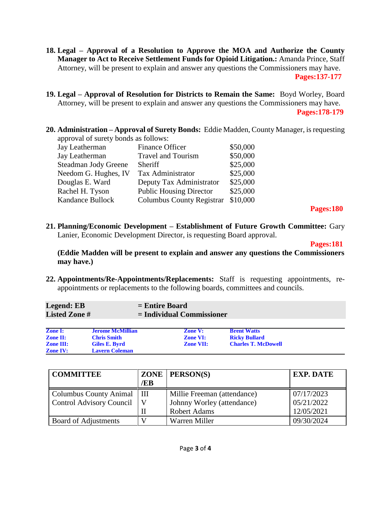- **18. Legal – Approval of a Resolution to Approve the MOA and Authorize the County Manager to Act to Receive Settlement Funds for Opioid Litigation.:** Amanda Prince, Staff Attorney, will be present to explain and answer any questions the Commissioners may have.  **Pages:137-177**
- **19. Legal – Approval of Resolution for Districts to Remain the Same:** Boyd Worley, Board Attorney, will be present to explain and answer any questions the Commissioners may have.  **Pages:178-179**
- **20. Administration – Approval of Surety Bonds:** Eddie Madden, County Manager, is requesting approval of surety bonds as follows:

| Jay Leatherman          | <b>Finance Officer</b>           | \$50,000 |
|-------------------------|----------------------------------|----------|
| Jay Leatherman          | <b>Travel and Tourism</b>        | \$50,000 |
| Steadman Jody Greene    | Sheriff                          | \$25,000 |
| Needom G. Hughes, IV    | Tax Administrator                | \$25,000 |
| Douglas E. Ward         | Deputy Tax Administrator         | \$25,000 |
| Rachel H. Tyson         | <b>Public Housing Director</b>   | \$25,000 |
| <b>Kandance Bullock</b> | <b>Columbus County Registrar</b> | \$10,000 |
|                         |                                  |          |

 **Pages:180**

**21. Planning/Economic Development – Establishment of Future Growth Committee:** Gary Lanier, Economic Development Director, is requesting Board approval.

**Pages:181**

**(Eddie Madden will be present to explain and answer any questions the Commissioners may have.)**

**22. Appointments/Re-Appointments/Replacements:** Staff is requesting appointments, reappointments or replacements to the following boards, committees and councils.

| <b>Legend: EB</b>    | $=$ Entire Board            |
|----------------------|-----------------------------|
| <b>Listed Zone #</b> | $=$ Individual Commissioner |
|                      |                             |

| <b>Zone I:</b>   | <b>Jerome McMillian</b> | <b>Zone V:</b>   | <b>Brent Watts</b>         |  |
|------------------|-------------------------|------------------|----------------------------|--|
| <b>Zone II:</b>  | <b>Chris Smith</b>      | <b>Zone VI:</b>  | <b>Ricky Bullard</b>       |  |
| <b>Zone III:</b> | Giles E. Byrd           | <b>Zone VII:</b> | <b>Charles T. McDowell</b> |  |
| <b>Zone IV:</b>  | <b>Lavern Coleman</b>   |                  |                            |  |

| <b>COMMITTEE</b>                | /EB | $ZONE$   PERSON(S)          | <b>EXP. DATE</b> |
|---------------------------------|-----|-----------------------------|------------------|
| <b>Columbus County Animal</b>   | III | Millie Freeman (attendance) | 07/17/2023       |
| <b>Control Advisory Council</b> |     | Johnny Worley (attendance)  | 05/21/2022       |
|                                 |     | <b>Robert Adams</b>         | 12/05/2021       |
| Board of Adjustments            |     | Warren Miller               | 09/30/2024       |